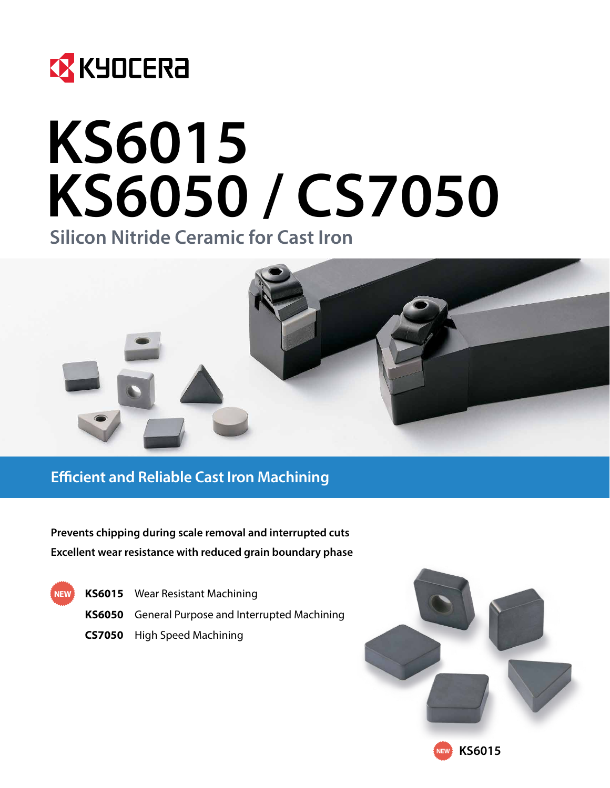

# **KS6015 KS6050 / CS7050**

**Silicon Nitride Ceramic for Cast Iron**



**Efficient and Reliable Cast Iron Machining**

**Prevents chipping during scale removal and interrupted cuts Excellent wear resistance with reduced grain boundary phase**

**KS6015** Wear Resistant Machining **KS6050** General Purpose and Interrupted Machining **CS7050** High Speed Machining **NEW**

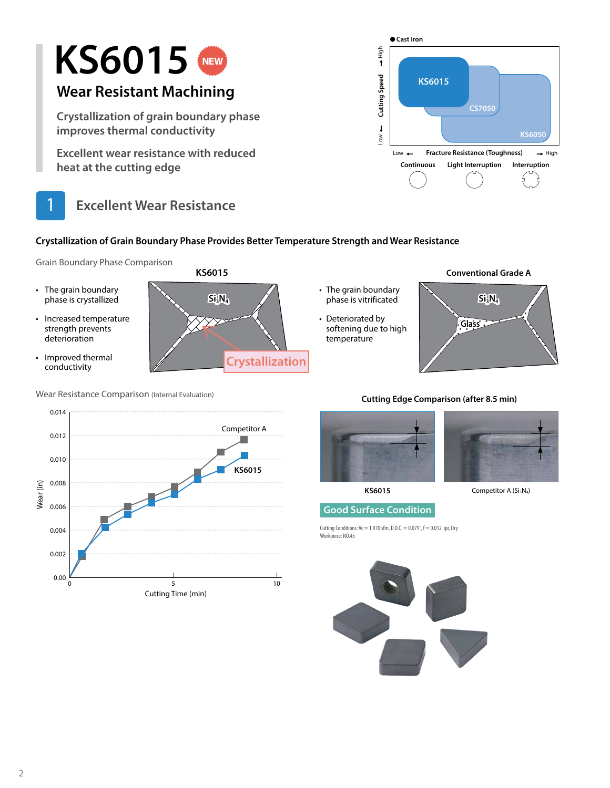

### **Crystallization of Grain Boundary Phase Provides Better Temperature Strength and Wear Resistance**

Grain Boundary Phase Comparison

- The grain boundary phase is crystallized
- Increased temperature strength prevents deterioration
- Improved thermal conductivity



- The grain boundary
- Deteriorated by softening due to high **Glass Glass** temperature





### **Cutting Edge Comparison (after 8.5 min)**





**KS6015** Competitor A (Si<sub>3</sub>N<sub>4</sub>)

### **Good Surface Condition**

Cutting Conditions:  $Vc = 1,970$  sfm, D.O.C. = 0.079",  $f = 0.012$  ipr, Dry Workpiece: NO.45





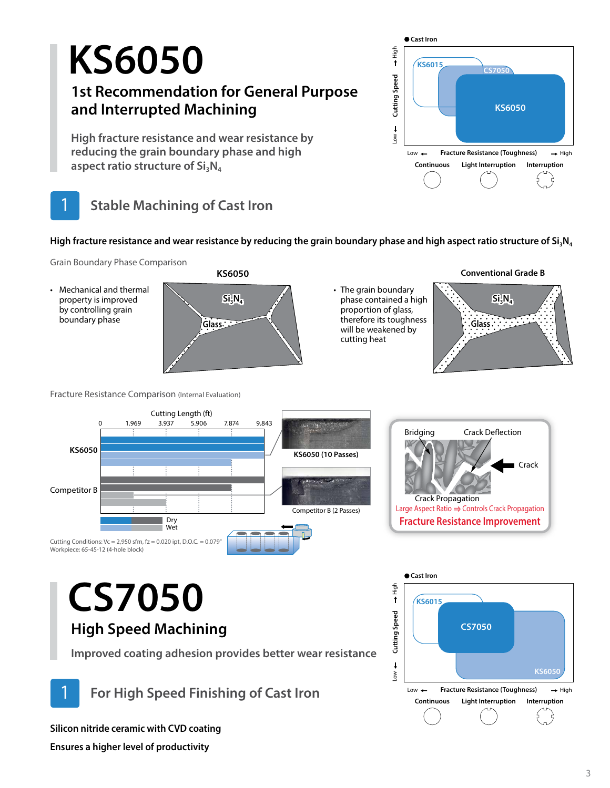## **KS6050**

### **1st Recommendation for General Purpose and Interrupted Machining**

**High fracture resistance and wear resistance by reducing the grain boundary phase and high**  aspect ratio structure of Si<sub>3</sub>N<sub>4</sub>



### **Cast Iron** Нigh Low  $\leftarrow$  Cutting Speed  $\rightarrow$  High  $\pmb{\uparrow}$ **KS6015 CS7050** Cutting Speed **Cutting Speed KS6050**  $\mathbf{t}$ **Nor** Low ← Fracture Resistance (Toughness) → High **Continuous Light Interruption Interruption**

High fracture resistance and wear resistance by reducing the grain boundary phase and high aspect ratio structure of Si<sub>3</sub>N<sub>4</sub>

Grain Boundary Phase Comparison

• Mechanical and thermal property is improved by controlling grain boundary phase

Workpiece: 65-45-12 (4-hole block)



• The grain boundary phase contained a high proportion of glass, therefore its toughness will be weakened by cutting heat





**KS6050** Competitor B 0 1.969 3.937 5.906 7.874 9.843 Cutting Length (ft) Dry Wet Cutting Conditions:  $Vc = 2,950$  sfm,  $fz = 0.020$  ipt, D.O.C. = 0.079" **KS6050 (10 Passes)** Competitor B (2 Passes)



## **CS7050 High Speed Machining**

Fracture Resistance Comparison (Internal Evaluation)

**Improved coating adhesion provides better wear resistance**

1 **For High Speed Finishing of Cast Iron**

**Silicon nitride ceramic with CVD coating**

**Ensures a higher level of productivity**